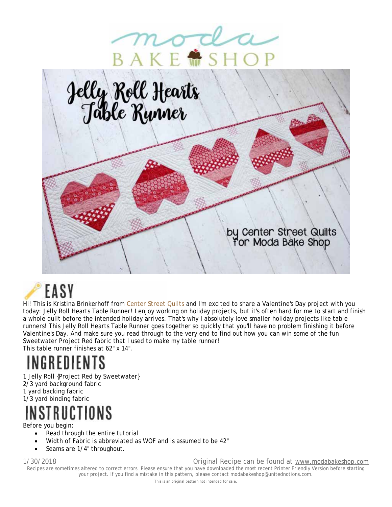



# EASY

Hi! This is Kristina Brinkerhoff from Center Street Quilts and I'm excited to share a Valentine's Day project with you today: Jelly Roll Hearts Table Runner! I enjoy working on holiday projects, but it's often hard for me to start and finish a whole quilt before the intended holiday arrives. That's why I absolutely love smaller holiday projects like table runners! This Jelly Roll Hearts Table Runner goes together so quickly that you'll have no problem finishing it before Valentine's Day. And make sure you read through to the very end to find out how you can win some of the fun Sweetwater Project Red fabric that I used to make my table runner! This table runner finishes at 62" x 14".

INGREDIENTS

1 Jelly Roll {Project Red by Sweetwater} 2/3 yard background fabric 1 yard backing fabric 1/3 yard binding fabric

## INSTRUCTIONS

Before you begin:

- Read through the entire tutorial
- Width of Fabric is abbreviated as WOF and is assumed to be 42"
- Seams are 1/4" throughout.

1/30/2018 Original Recipe can be found at www.modabakeshop.com Recipes are sometimes altered to correct errors. Please ensure that you have downloaded the most recent Printer Friendly Version before starting your project. If you find a mistake in this pattern, please contact modabakeshop@unitednotions.com.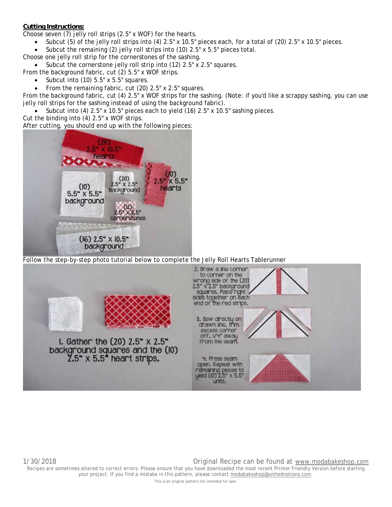### **Cutting Instructions:**

Choose seven (7) jelly roll strips (2.5" x WOF) for the hearts.

- Subcut (5) of the jelly roll strips into (4) 2.5" x 10.5" pieces each, for a total of (20) 2.5" x 10.5" pieces.
- Subcut the remaining (2) jelly roll strips into (10) 2.5" x 5.5" pieces total.

Choose one jelly roll strip for the cornerstones of the sashing.

Subcut the cornerstone jelly roll strip into (12) 2.5" x 2.5" squares.

From the background fabric, cut (2) 5.5" x WOF strips.

- Subcut into (10) 5.5" x 5.5" squares.
- From the remaining fabric, cut (20) 2.5" x 2.5" squares.

From the background fabric, cut (4) 2.5" x WOF strips for the sashing. (Note: if you'd like a scrappy sashing, you can use jelly roll strips for the sashing instead of using the background fabric).

Subcut into  $(4)$  2.5" x 10.5" pieces each to yield  $(16)$  2.5" x 10.5" sashing pieces.

Cut the binding into (4) 2.5" x WOF strips.

After cutting, you should end up with the following pieces:



Follow the step-by-step photo tutorial below to complete the Jelly Roll Hearts Tablerunner



This is an original pattern not intended for sale.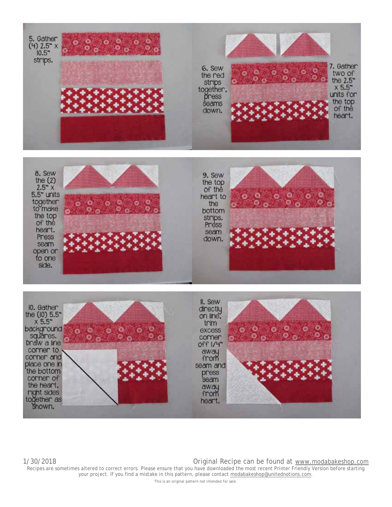





1/30/2018 Original Recipe can be found at www.modabakeshop.com Recipes are sometimes altered to correct errors. Please ensure that you have downloaded the most recent Printer Friendly Version before starting your project. If you find a mistake in this pattern, please contact modabakeshop@unitednotions.com.

This is an original pattern not intended for sale.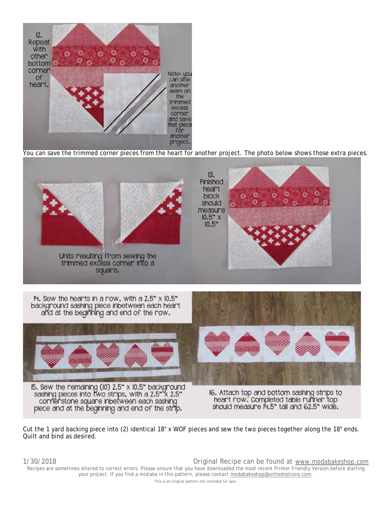

You can save the trimmed corner pieces from the heart for another project. The photo below shows those extra pieces.



Cut the 1 yard backing piece into (2) identical 18" x WOF pieces and sew the two pieces together along the 18" ends. Quilt and bind as desired.

1/30/2018 Original Recipe can be found at www.modabakeshop.com Recipes are sometimes altered to correct errors. Please ensure that you have downloaded the most recent Printer Friendly Version before starting your project. If you find a mistake in this pattern, please contact modabakeshop@unitednotions.com. This is an original pattern not intended for sale.